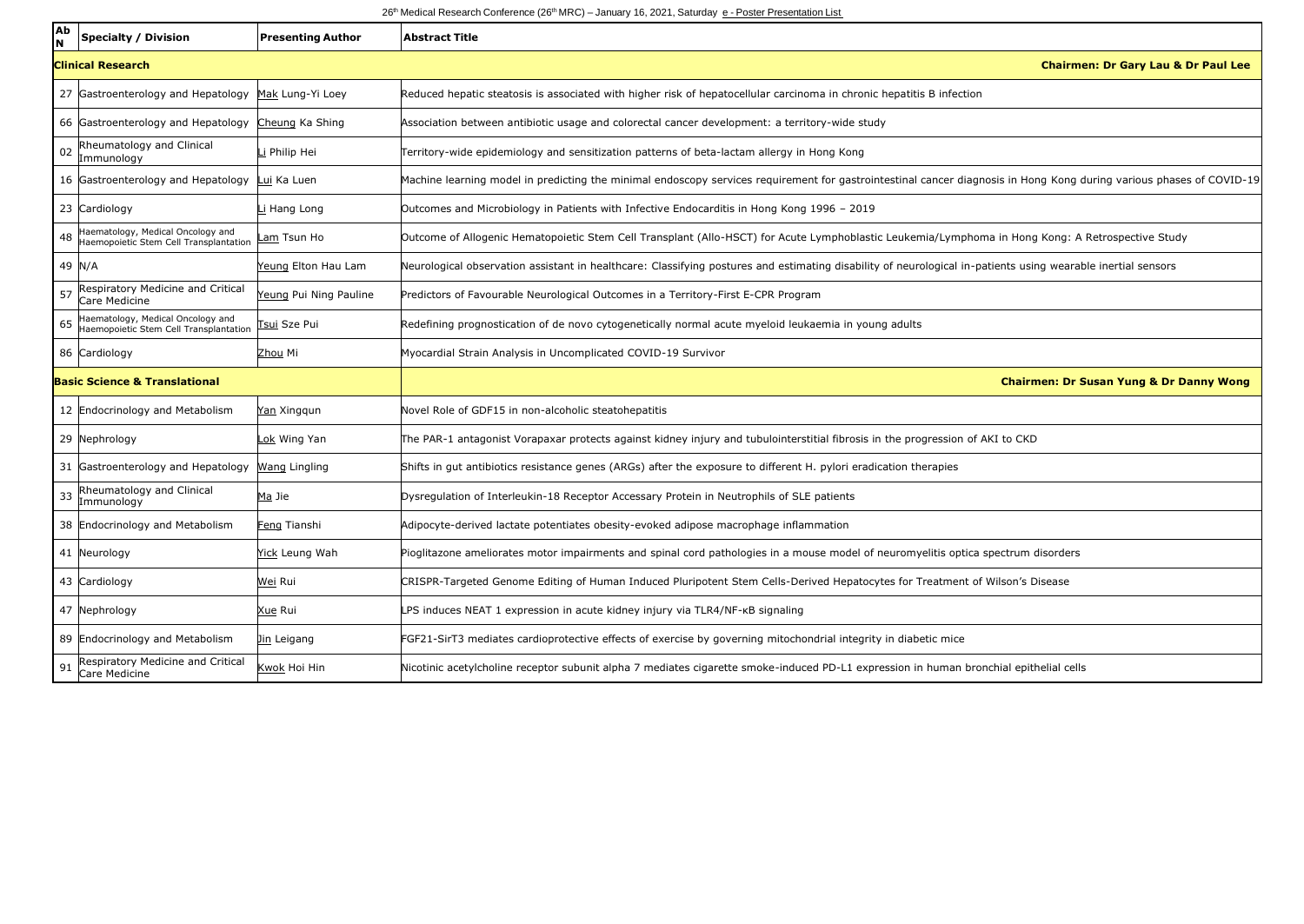## 26<sup>th</sup> Medical Research Conference (26<sup>th</sup> MRC) – January 16, 2021, Saturday e - Poster Presentation List

| Ab                                       | <b>Specialty / Division</b>                                                 | <b>Presenting Author</b> | <b>Abstract Title</b>                                                                                                                                                |
|------------------------------------------|-----------------------------------------------------------------------------|--------------------------|----------------------------------------------------------------------------------------------------------------------------------------------------------------------|
|                                          | <b>Clinical Research</b>                                                    |                          | <b>Chairmen: Dr Gary Lau &amp; Dr Paul Lee</b>                                                                                                                       |
|                                          | 27 Gastroenterology and Hepatology                                          | Mak Lung-Yi Loey         | Reduced hepatic steatosis is associated with higher risk of hepatocellular carcinoma in chronic hepatitis B infection                                                |
|                                          | 66 Gastroenterology and Hepatology                                          | Cheung Ka Shing          | Association between antibiotic usage and colorectal cancer development: a territory-wide study                                                                       |
| 02                                       | Rheumatology and Clinical<br>Immunology                                     | i Philip Hei             | Territory-wide epidemiology and sensitization patterns of beta-lactam allergy in Hong Kong                                                                           |
|                                          | 16 Gastroenterology and Hepatology                                          | Lui Ka Luen              | Machine learning model in predicting the minimal endoscopy services requirement for gastrointestinal cancer diagnosis in Hong Kong during various phases of COVID-19 |
|                                          | 23 Cardiology                                                               | Li Hang Long             | Outcomes and Microbiology in Patients with Infective Endocarditis in Hong Kong 1996 - 2019                                                                           |
|                                          | Haematology, Medical Oncology and<br>Haemopoietic Stem Cell Transplantation | Lam Tsun Ho              | Outcome of Allogenic Hematopoietic Stem Cell Transplant (Allo-HSCT) for Acute Lymphoblastic Leukemia/Lymphoma in Hong Kong: A Retrospective Study                    |
| 49 N/A                                   |                                                                             | Yeung Elton Hau Lam      | Neurological observation assistant in healthcare: Classifying postures and estimating disability of neurological in-patients using wearable inertial sensors         |
| 57                                       | Respiratory Medicine and Critical<br>Care Medicine                          | Yeung Pui Ning Pauline   | Predictors of Favourable Neurological Outcomes in a Territory-First E-CPR Program                                                                                    |
| 65                                       | Haematology, Medical Oncology and<br>Haemopoietic Stem Cell Transplantation | Tsui Sze Pui             | Redefining prognostication of de novo cytogenetically normal acute myeloid leukaemia in young adults                                                                 |
|                                          | 86 Cardiology                                                               | Zhou Mi                  | Myocardial Strain Analysis in Uncomplicated COVID-19 Survivor                                                                                                        |
| <b>Basic Science &amp; Translational</b> |                                                                             |                          | <b>Chairmen: Dr Susan Yung &amp; Dr Danny Wong</b>                                                                                                                   |
|                                          | 12 Endocrinology and Metabolism                                             | Yan Xinggun              | Novel Role of GDF15 in non-alcoholic steatohepatitis                                                                                                                 |
|                                          | 29 Nephrology                                                               | Lok Wing Yan             | The PAR-1 antagonist Vorapaxar protects against kidney injury and tubulointerstitial fibrosis in the progression of AKI to CKD                                       |
|                                          | 31 Gastroenterology and Hepatology                                          | Wang Lingling            | Shifts in qut antibiotics resistance genes (ARGs) after the exposure to different H. pylori eradication therapies                                                    |
| 33                                       | Rheumatology and Clinical<br>Immunoloav                                     | Ma Jie                   | Dysregulation of Interleukin-18 Receptor Accessary Protein in Neutrophils of SLE patients                                                                            |
|                                          | 38 Endocrinology and Metabolism                                             | Feng Tianshi             | Adipocyte-derived lactate potentiates obesity-evoked adipose macrophage inflammation                                                                                 |
|                                          | 41 Neurology                                                                | Yick Leung Wah           | Pioglitazone ameliorates motor impairments and spinal cord pathologies in a mouse model of neuromyelitis optica spectrum disorders                                   |
|                                          | 43 Cardiology                                                               | Wei Rui                  | CRISPR-Targeted Genome Editing of Human Induced Pluripotent Stem Cells-Derived Hepatocytes for Treatment of Wilson's Disease                                         |
|                                          | 47 Nephrology                                                               | Xue Rui                  | LPS induces NEAT 1 expression in acute kidney injury via TLR4/NF-KB signaling                                                                                        |
|                                          | 89 Endocrinology and Metabolism                                             | Jin Leigang              | FGF21-SirT3 mediates cardioprotective effects of exercise by governing mitochondrial integrity in diabetic mice                                                      |
| 91                                       | Respiratory Medicine and Critical<br>Care Medicine                          | Kwok Hoi Hin             | Nicotinic acetylcholine receptor subunit alpha 7 mediates cigarette smoke-induced PD-L1 expression in human bronchial epithelial cells                               |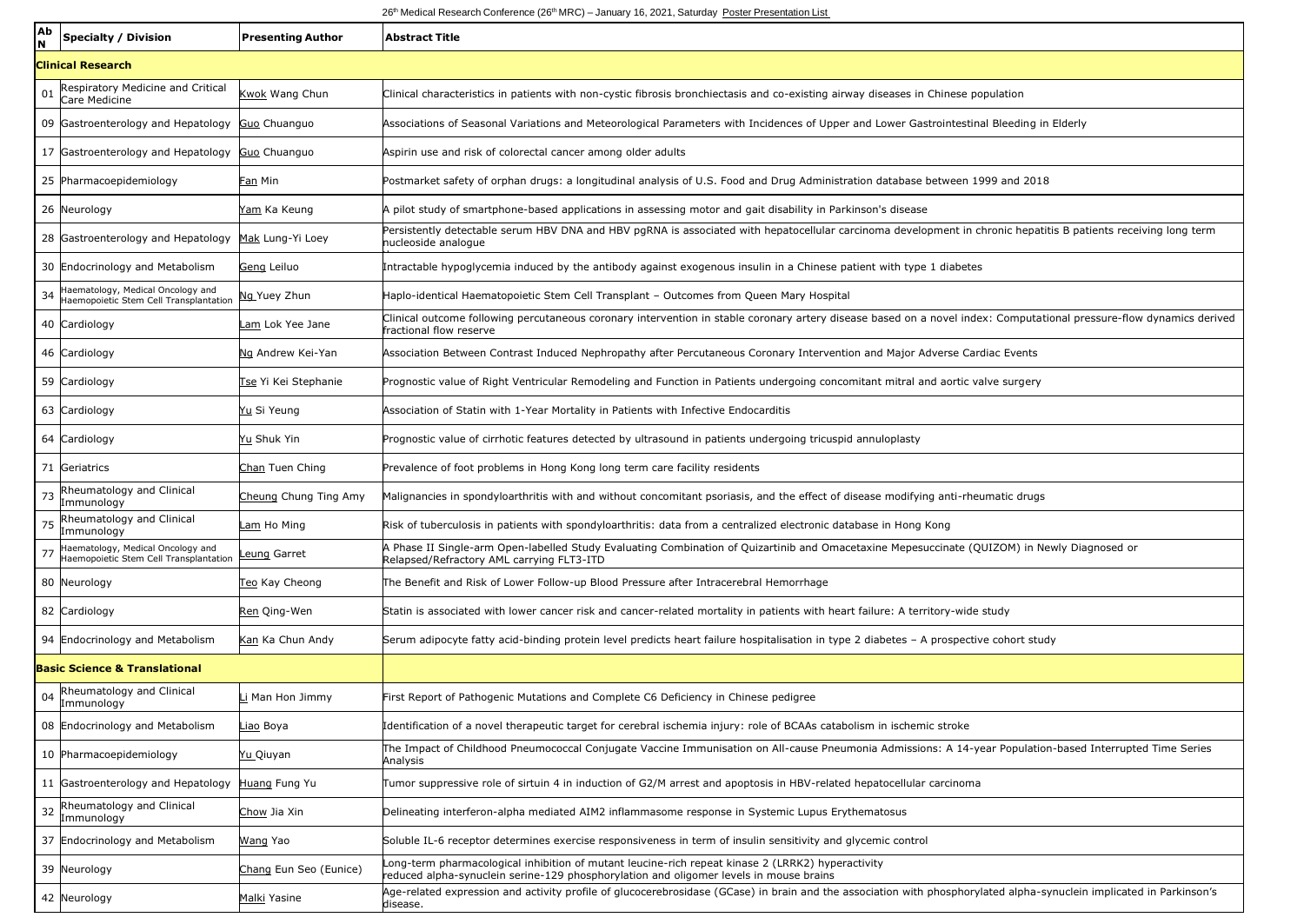## 26<sup>th</sup> Medical Research Conference (26<sup>th</sup> MRC) – January 16, 2021, Saturday Poster Presentation List

| Ab<br>N                                  | <b>Specialty / Division</b>                                                 | <b>Presenting Author</b> | <b>Abstract Title</b>                                                                                                                                                                           |  |  |  |
|------------------------------------------|-----------------------------------------------------------------------------|--------------------------|-------------------------------------------------------------------------------------------------------------------------------------------------------------------------------------------------|--|--|--|
|                                          | <b>Clinical Research</b>                                                    |                          |                                                                                                                                                                                                 |  |  |  |
| 01                                       | Respiratory Medicine and Critical<br>Care Medicine                          | Kwok Wang Chun           | Clinical characteristics in patients with non-cystic fibrosis bronchiectasis and co-existing airway diseases in Chinese population                                                              |  |  |  |
|                                          | 09 Gastroenterology and Hepatology                                          | Guo Chuanguo             | Associations of Seasonal Variations and Meteorological Parameters with Incidences of Upper and Lower Gastrointestinal Bleeding in Elderly                                                       |  |  |  |
|                                          | 17 Gastroenterology and Hepatology                                          | Guo Chuanguo             | Aspirin use and risk of colorectal cancer among older adults                                                                                                                                    |  |  |  |
|                                          | 25 Pharmacoepidemiology                                                     | Fan Min                  | Postmarket safety of orphan drugs: a longitudinal analysis of U.S. Food and Drug Administration database between 1999 and 2018                                                                  |  |  |  |
|                                          | 26 Neurology                                                                | Yam Ka Keung             | A pilot study of smartphone-based applications in assessing motor and gait disability in Parkinson's disease                                                                                    |  |  |  |
|                                          | 28 Gastroenterology and Hepatology                                          | Mak Lung-Yi Loey         | Persistently detectable serum HBV DNA and HBV pgRNA is associated with hepatocellular carcinoma development in chronic hepatitis B patients receiving long term<br>nucleoside analoque          |  |  |  |
|                                          | 30 Endocrinology and Metabolism                                             | Geng Leiluo              | Intractable hypoglycemia induced by the antibody against exogenous insulin in a Chinese patient with type 1 diabetes                                                                            |  |  |  |
| 34                                       | Haematology, Medical Oncology and<br>Haemopoietic Stem Cell Transplantation | Ng Yuey Zhun             | Haplo-identical Haematopoietic Stem Cell Transplant - Outcomes from Queen Mary Hospital                                                                                                         |  |  |  |
|                                          | 40 Cardiology                                                               | Lam Lok Yee Jane         | Clinical outcome following percutaneous coronary intervention in stable coronary artery disease based on a novel index: Computational pressure-flow dynamics derived<br>fractional flow reserve |  |  |  |
|                                          | 46 Cardiology                                                               | Ng Andrew Kei-Yan        | Association Between Contrast Induced Nephropathy after Percutaneous Coronary Intervention and Major Adverse Cardiac Events                                                                      |  |  |  |
|                                          | 59 Cardiology                                                               | Tse Yi Kei Stephanie     | Prognostic value of Right Ventricular Remodeling and Function in Patients undergoing concomitant mitral and aortic valve surgery                                                                |  |  |  |
|                                          | 63 Cardiology                                                               | Yu Si Yeung              | Association of Statin with 1-Year Mortality in Patients with Infective Endocarditis                                                                                                             |  |  |  |
|                                          | 64 Cardiology                                                               | Yu Shuk Yin              | Prognostic value of cirrhotic features detected by ultrasound in patients undergoing tricuspid annuloplasty                                                                                     |  |  |  |
|                                          | 71 Geriatrics                                                               | Chan Tuen Ching          | Prevalence of foot problems in Hong Kong long term care facility residents                                                                                                                      |  |  |  |
| 73                                       | Rheumatology and Clinical<br>Immunology                                     | Cheung Chung Ting Amy    | Malignancies in spondyloarthritis with and without concomitant psoriasis, and the effect of disease modifying anti-rheumatic drugs                                                              |  |  |  |
| 75                                       | Rheumatology and Clinical<br>Immunology                                     | Lam Ho Ming              | Risk of tuberculosis in patients with spondyloarthritis: data from a centralized electronic database in Hong Kong                                                                               |  |  |  |
|                                          | Haematology, Medical Oncology and<br>Haemopoietic Stem Cell Transplantation | Leung Garret             | A Phase II Single-arm Open-labelled Study Evaluating Combination of Quizartinib and Omacetaxine Mepesuccinate (QUIZOM) in Newly Diagnosed or<br>Relapsed/Refractory AML carrying FLT3-ITD       |  |  |  |
|                                          | 80 Neurology                                                                | Teo Kay Cheong           | The Benefit and Risk of Lower Follow-up Blood Pressure after Intracerebral Hemorrhage                                                                                                           |  |  |  |
|                                          | 82 Cardiology                                                               | Ren Qing-Wen             | Statin is associated with lower cancer risk and cancer-related mortality in patients with heart failure: A territory-wide study                                                                 |  |  |  |
|                                          | 94 Endocrinology and Metabolism                                             | Kan Ka Chun Andy         | Serum adipocyte fatty acid-binding protein level predicts heart failure hospitalisation in type 2 diabetes - A prospective cohort study                                                         |  |  |  |
| <b>Basic Science &amp; Translational</b> |                                                                             |                          |                                                                                                                                                                                                 |  |  |  |
| 04                                       | Rheumatology and Clinical<br>Immunology                                     | i Man Hon Jimmy          | First Report of Pathogenic Mutations and Complete C6 Deficiency in Chinese pedigree                                                                                                             |  |  |  |
|                                          | 08 Endocrinology and Metabolism                                             | Liao Boya                | Identification of a novel therapeutic target for cerebral ischemia injury: role of BCAAs catabolism in ischemic stroke                                                                          |  |  |  |
|                                          | 10 Pharmacoepidemiology                                                     | <u>Yu Q</u> iuyan        | The Impact of Childhood Pneumococcal Conjugate Vaccine Immunisation on All-cause Pneumonia Admissions: A 14-year Population-based Interrupted Time Series<br>Analysis                           |  |  |  |
|                                          | 11 Gastroenterology and Hepatology                                          | Huang Fung Yu            | Tumor suppressive role of sirtuin 4 in induction of G2/M arrest and apoptosis in HBV-related hepatocellular carcinoma                                                                           |  |  |  |
| 32                                       | Rheumatology and Clinical<br>Immunology                                     | Chow Jia Xin             | Delineating interferon-alpha mediated AIM2 inflammasome response in Systemic Lupus Erythematosus                                                                                                |  |  |  |
|                                          | 37 Endocrinology and Metabolism                                             | <u>Wang</u> Yao          | Soluble IL-6 receptor determines exercise responsiveness in term of insulin sensitivity and glycemic control                                                                                    |  |  |  |
|                                          | 39 Neurology                                                                | Chang Eun Seo (Eunice)   | Long-term pharmacological inhibition of mutant leucine-rich repeat kinase 2 (LRRK2) hyperactivity<br>reduced alpha-synuclein serine-129 phosphorylation and oligomer levels in mouse brains     |  |  |  |
|                                          | 42 Neurology                                                                | Malki Yasine             | Age-related expression and activity profile of glucocerebrosidase (GCase) in brain and the association with phosphorylated alpha-synuclein implicated in Parkinson's<br>disease.                |  |  |  |